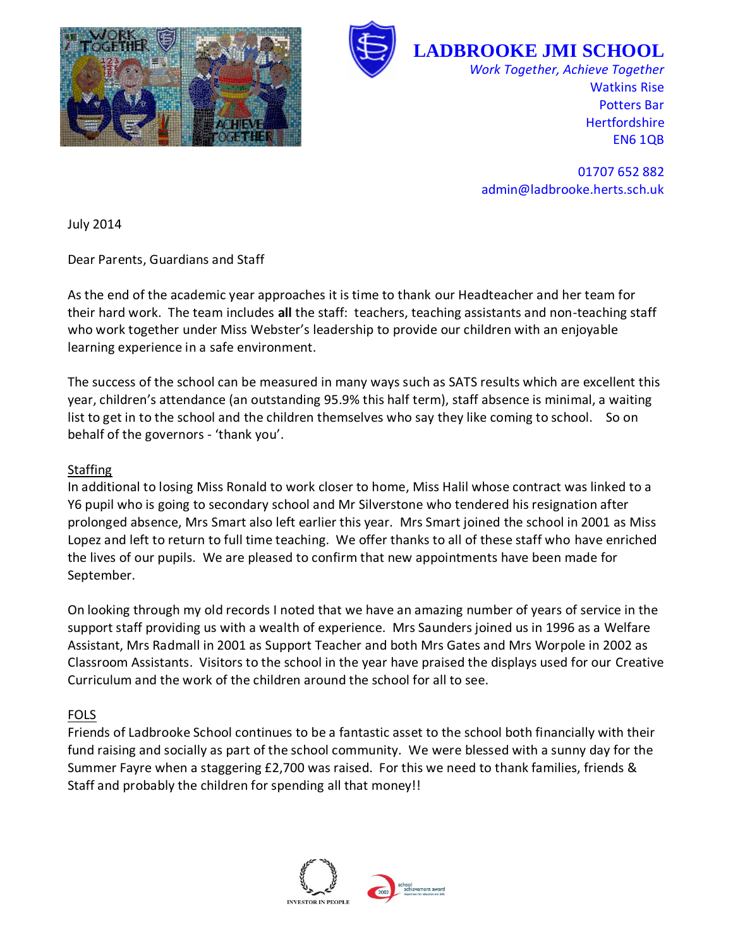



**LADBROOKE JMI SCHOOL**

*Work Together, Achieve Together* Watkins Rise Potters Bar **Hertfordshire** EN6 1QB

01707 652 882 admin@ladbrooke.herts.sch.uk

July 2014

Dear Parents, Guardians and Staff

As the end of the academic year approaches it is time to thank our Headteacher and her team for their hard work. The team includes **all** the staff: teachers, teaching assistants and non-teaching staff who work together under Miss Webster's leadership to provide our children with an enjoyable learning experience in a safe environment.

The success of the school can be measured in many ways such as SATS results which are excellent this year, children's attendance (an outstanding 95.9% this half term), staff absence is minimal, a waiting list to get in to the school and the children themselves who say they like coming to school. So on behalf of the governors - 'thank you'.

## **Staffing**

In additional to losing Miss Ronald to work closer to home, Miss Halil whose contract was linked to a Y6 pupil who is going to secondary school and Mr Silverstone who tendered his resignation after prolonged absence, Mrs Smart also left earlier this year. Mrs Smart joined the school in 2001 as Miss Lopez and left to return to full time teaching. We offer thanks to all of these staff who have enriched the lives of our pupils. We are pleased to confirm that new appointments have been made for September.

On looking through my old records I noted that we have an amazing number of years of service in the support staff providing us with a wealth of experience. Mrs Saunders joined us in 1996 as a Welfare Assistant, Mrs Radmall in 2001 as Support Teacher and both Mrs Gates and Mrs Worpole in 2002 as Classroom Assistants. Visitors to the school in the year have praised the displays used for our Creative Curriculum and the work of the children around the school for all to see.

# FOLS

Friends of Ladbrooke School continues to be a fantastic asset to the school both financially with their fund raising and socially as part of the school community. We were blessed with a sunny day for the Summer Fayre when a staggering £2,700 was raised. For this we need to thank families, friends & Staff and probably the children for spending all that money!!